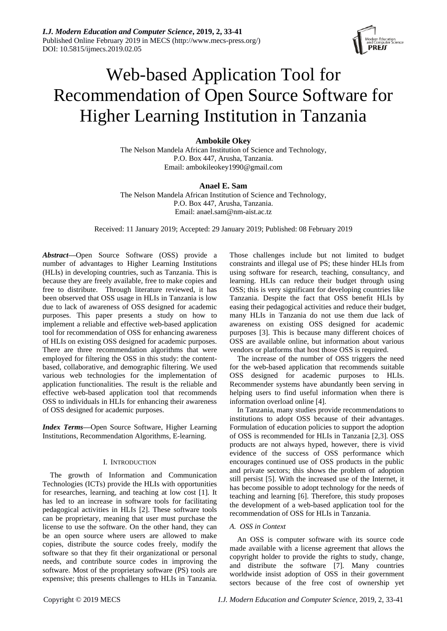*I.J. Modern Education and Computer Science***, 2019, 2, 33-41** Published Online February 2019 in MECS (http://www.mecs-press.org/) DOI: 10.5815/ijmecs.2019.02.05



# Web-based Application Tool for Recommendation of Open Source Software for Higher Learning Institution in Tanzania

# **Ambokile Okey**

The Nelson Mandela African Institution of Science and Technology, P.O. Box 447, Arusha, Tanzania. Email: ambokileokey1990@gmail.com

# **Anael E. Sam**

The Nelson Mandela African Institution of Science and Technology, P.O. Box 447, Arusha, Tanzania. Email: anael.sam@nm-aist.ac.tz

Received: 11 January 2019; Accepted: 29 January 2019; Published: 08 February 2019

*Abstract***—**Open Source Software (OSS) provide a number of advantages to Higher Learning Institutions (HLIs) in developing countries, such as Tanzania. This is because they are freely available, free to make copies and free to distribute. Through literature reviewed, it has been observed that OSS usage in HLIs in Tanzania is low due to lack of awareness of OSS designed for academic purposes. This paper presents a study on how to implement a reliable and effective web-based application tool for recommendation of OSS for enhancing awareness of HLIs on existing OSS designed for academic purposes. There are three recommendation algorithms that were employed for filtering the OSS in this study: the contentbased, collaborative, and demographic filtering. We used various web technologies for the implementation of application functionalities. The result is the reliable and effective web-based application tool that recommends OSS to individuals in HLIs for enhancing their awareness of OSS designed for academic purposes.

*Index Terms***—**Open Source Software, Higher Learning Institutions, Recommendation Algorithms, E-learning.

## I. INTRODUCTION

The growth of Information and Communication Technologies (ICTs) provide the HLIs with opportunities for researches, learning, and teaching at low cost [1]. It has led to an increase in software tools for facilitating pedagogical activities in HLIs [2]. These software tools can be proprietary, meaning that user must purchase the license to use the software. On the other hand, they can be an open source where users are allowed to make copies, distribute the source codes freely, modify the software so that they fit their organizational or personal needs, and contribute source codes in improving the software. Most of the proprietary software (PS) tools are expensive; this presents challenges to HLIs in Tanzania.

Those challenges include but not limited to budget constraints and illegal use of PS; these hinder HLIs from using software for research, teaching, consultancy, and learning. HLIs can reduce their budget through using OSS; this is very significant for developing countries like Tanzania. Despite the fact that OSS benefit HLIs by easing their pedagogical activities and reduce their budget, many HLIs in Tanzania do not use them due lack of awareness on existing OSS designed for academic purposes [3]. This is because many different choices of OSS are available online, but information about various vendors or platforms that host those OSS is required.

The increase of the number of OSS triggers the need for the web-based application that recommends suitable OSS designed for academic purposes to HLIs. Recommender systems have abundantly been serving in helping users to find useful information when there is information overload online [4].

In Tanzania, many studies provide recommendations to institutions to adopt OSS because of their advantages. Formulation of education policies to support the adoption of OSS is recommended for HLIs in Tanzania [2,3]. OSS products are not always hyped, however, there is vivid evidence of the success of OSS performance which encourages continued use of OSS products in the public and private sectors; this shows the problem of adoption still persist [5]. With the increased use of the Internet, it has become possible to adopt technology for the needs of teaching and learning [6]. Therefore, this study proposes the development of a web-based application tool for the recommendation of OSS for HLIs in Tanzania.

## *A. OSS in Context*

An OSS is computer software with its source code made available with a license agreement that allows the copyright holder to provide the rights to study, change, and distribute the software [7]. Many countries worldwide insist adoption of OSS in their government sectors because of the free cost of ownership yet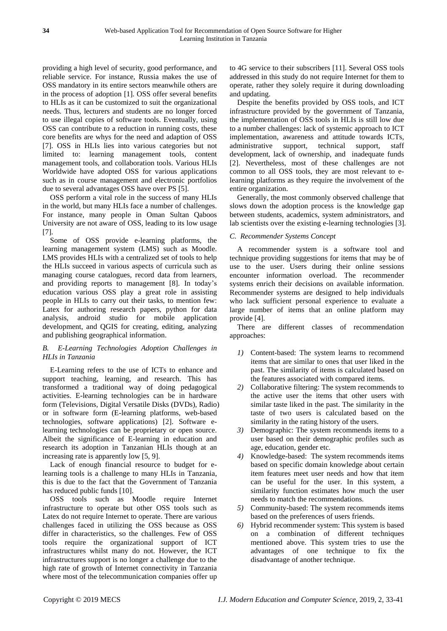providing a high level of security, good performance, and reliable service. For instance, Russia makes the use of OSS mandatory in its entire sectors meanwhile others are in the process of adoption [1]. OSS offer several benefits to HLIs as it can be customized to suit the organizational needs. Thus, lecturers and students are no longer forced to use illegal copies of software tools. Eventually, using OSS can contribute to a reduction in running costs, these core benefits are whys for the need and adaption of OSS [7]. OSS in HLIs lies into various categories but not limited to: learning management tools, content management tools, and collaboration tools. Various HLIs Worldwide have adopted OSS for various applications such as in course management and electronic portfolios due to several advantages OSS have over PS [5].

OSS perform a vital role in the success of many HLIs in the world, but many HLIs face a number of challenges. For instance, many people in Oman Sultan Qaboos University are not aware of OSS, leading to its low usage [7].

Some of OSS provide e-learning platforms, the learning management system (LMS) such as Moodle. LMS provides HLIs with a centralized set of tools to help the HLIs succeed in various aspects of curricula such as managing course catalogues, record data from learners, and providing reports to management [8]. In today's education various OSS play a great role in assisting people in HLIs to carry out their tasks, to mention few: Latex for authoring research papers, python for data analysis, android studio for mobile application development, and QGIS for creating, editing, analyzing and publishing geographical information.

# *B. E-Learning Technologies Adoption Challenges in HLIs in Tanzania*

E-Learning refers to the use of ICTs to enhance and support teaching, learning, and research. This has transformed a traditional way of doing pedagogical activities. E-learning technologies can be in hardware form (Televisions, Digital Versatile Disks (DVDs), Radio) or in software form (E-learning platforms, web-based technologies, software applications) [2]. Software elearning technologies can be proprietary or open source. Albeit the significance of E-learning in education and research its adoption in Tanzanian HLIs though at an increasing rate is apparently low [5, 9].

Lack of enough financial resource to budget for elearning tools is a challenge to many HLIs in Tanzania, this is due to the fact that the Government of Tanzania has reduced public funds [10].

OSS tools such as Moodle require Internet infrastructure to operate but other OSS tools such as Latex do not require Internet to operate. There are various challenges faced in utilizing the OSS because as OSS differ in characteristics, so the challenges. Few of OSS tools require the organizational support of ICT infrastructures whilst many do not. However, the ICT infrastructures support is no longer a challenge due to the high rate of growth of Internet connectivity in Tanzania where most of the telecommunication companies offer up

to 4G service to their subscribers [11]. Several OSS tools addressed in this study do not require Internet for them to operate, rather they solely require it during downloading and updating.

Despite the benefits provided by OSS tools, and ICT infrastructure provided by the government of Tanzania, the implementation of OSS tools in HLIs is still low due to a number challenges: lack of systemic approach to ICT implementation, awareness and attitude towards ICTs, administrative support, technical support, staff development, lack of ownership, and inadequate funds [2]. Nevertheless, most of these challenges are not common to all OSS tools, they are most relevant to elearning platforms as they require the involvement of the entire organization.

Generally, the most commonly observed challenge that slows down the adoption process is the knowledge gap between students, academics, system administrators, and lab scientists over the existing e-learning technologies [3].

# *C. Recommender Systems Concept*

A recommender system is a software tool and technique providing suggestions for items that may be of use to the user. Users during their online sessions encounter information overload. The recommender systems enrich their decisions on available information. Recommender systems are designed to help individuals who lack sufficient personal experience to evaluate a large number of items that an online platform may provide [4].

There are different classes of recommendation approaches:

- *1)* Content-based: The system learns to recommend items that are similar to ones that user liked in the past. The similarity of items is calculated based on the features associated with compared items.
- *2)* Collaborative filtering: The system recommends to the active user the items that other users with similar taste liked in the past. The similarity in the taste of two users is calculated based on the similarity in the rating history of the users.
- *3)* Demographic: The system recommends items to a user based on their demographic profiles such as age, education, gender etc.
- *4)* Knowledge-based: The system recommends items based on specific domain knowledge about certain item features meet user needs and how that item can be useful for the user. In this system, a similarity function estimates how much the user needs to match the recommendations.
- *5)* Community-based: The system recommends items based on the preferences of users friends.
- *6)* Hybrid recommender system: This system is based on a combination of different techniques mentioned above. This system tries to use the advantages of one technique to fix the disadvantage of another technique.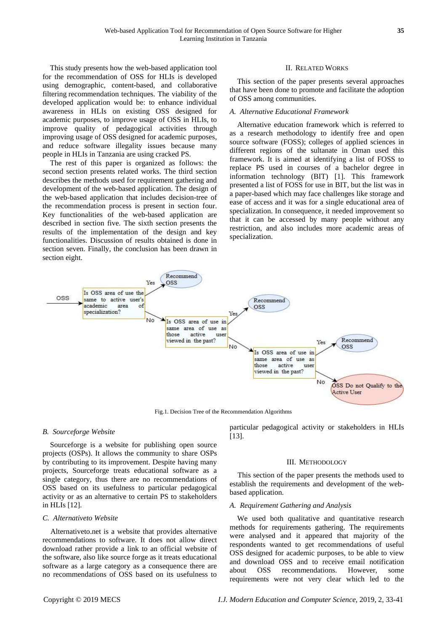This study presents how the web-based application tool for the recommendation of OSS for HLIs is developed using demographic, content-based, and collaborative filtering recommendation techniques. The viability of the developed application would be: to enhance individual awareness in HLIs on existing OSS designed for academic purposes, to improve usage of OSS in HLIs, to improve quality of pedagogical activities through improving usage of OSS designed for academic purposes, and reduce software illegality issues because many people in HLIs in Tanzania are using cracked PS.

The rest of this paper is organized as follows: the second section presents related works. The third section describes the methods used for requirement gathering and development of the web-based application. The design of the web-based application that includes decision-tree of the recommendation process is present in section four. Key functionalities of the web-based application are described in section five. The sixth section presents the results of the implementation of the design and key functionalities. Discussion of results obtained is done in section seven. Finally, the conclusion has been drawn in section eight.

#### II. RELATED WORKS

This section of the paper presents several approaches that have been done to promote and facilitate the adoption of OSS among communities.

## *A. Alternative Educational Framework*

Alternative education framework which is referred to as a research methodology to identify free and open source software (FOSS); colleges of applied sciences in different regions of the sultanate in Oman used this framework. It is aimed at identifying a list of FOSS to replace PS used in courses of a bachelor degree in information technology (BIT) [1]. This framework presented a list of FOSS for use in BIT, but the list was in a paper-based which may face challenges like storage and ease of access and it was for a single educational area of specialization. In consequence, it needed improvement so that it can be accessed by many people without any restriction, and also includes more academic areas of specialization.



Fig.1. Decision Tree of the Recommendation Algorithms

### *B. Sourceforge Website*

Sourceforge is a website for publishing open source projects (OSPs). It allows the community to share OSPs by contributing to its improvement. Despite having many projects, Sourceforge treats educational software as a single category, thus there are no recommendations of OSS based on its usefulness to particular pedagogical activity or as an alternative to certain PS to stakeholders in HLIs [12].

#### *C. Alternativeto Website*

Alternativeto.net is a website that provides alternative recommendations to software. It does not allow direct download rather provide a link to an official website of the software, also like source forge as it treats educational software as a large category as a consequence there are no recommendations of OSS based on its usefulness to particular pedagogical activity or stakeholders in HLIs [13].

#### III. METHODOLOGY

This section of the paper presents the methods used to establish the requirements and development of the webbased application.

#### *A. Requirement Gathering and Analysis*

We used both qualitative and quantitative research methods for requirements gathering. The requirements were analysed and it appeared that majority of the respondents wanted to get recommendations of useful OSS designed for academic purposes, to be able to view and download OSS and to receive email notification about OSS recommendations. However, some requirements were not very clear which led to the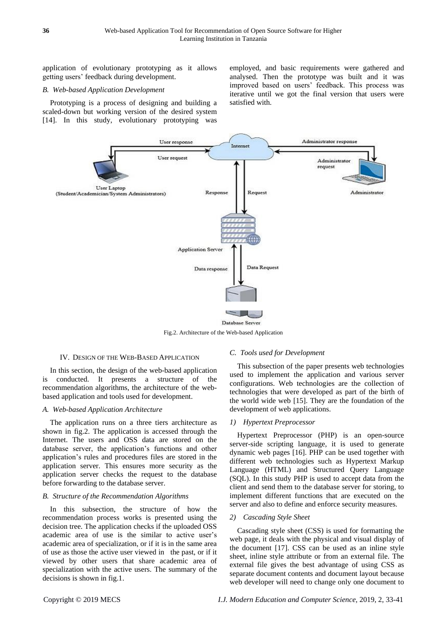application of evolutionary prototyping as it allows getting users' feedback during development.

## *B. Web-based Application Development*

Prototyping is a process of designing and building a scaled-down but working version of the desired system [14]. In this study, evolutionary prototyping was employed, and basic requirements were gathered and analysed. Then the prototype was built and it was improved based on users' feedback. This process was iterative until we got the final version that users were satisfied with.



Fig.2. Architecture of the Web-based Application

#### IV. DESIGN OF THE WEB-BASED APPLICATION

In this section, the design of the web-based application is conducted. It presents a structure of the recommendation algorithms, the architecture of the webbased application and tools used for development.

## *A. Web-based Application Architecture*

The application runs on a three tiers architecture as shown in fig.2. The application is accessed through the Internet. The users and OSS data are stored on the database server, the application's functions and other application's rules and procedures files are stored in the application server. This ensures more security as the application server checks the request to the database before forwarding to the database server.

## *B. Structure of the Recommendation Algorithms*

In this subsection, the structure of how the recommendation process works is presented using the decision tree. The application checks if the uploaded OSS academic area of use is the similar to active user's academic area of specialization, or if it is in the same area of use as those the active user viewed in the past, or if it viewed by other users that share academic area of specialization with the active users. The summary of the decisions is shown in fig.1.

## *C. Tools used for Development*

This subsection of the paper presents web technologies used to implement the application and various server configurations. Web technologies are the collection of technologies that were developed as part of the birth of the world wide web [15]. They are the foundation of the development of web applications.

## *1) Hypertext Preprocessor*

Hypertext Preprocessor (PHP) is an open-source server-side scripting language, it is used to generate dynamic web pages [16]. PHP can be used together with different web technologies such as Hypertext Markup Language (HTML) and Structured Query Language (SQL). In this study PHP is used to accept data from the client and send them to the database server for storing, to implement different functions that are executed on the server and also to define and enforce security measures.

#### *2) Cascading Style Sheet*

Cascading style sheet (CSS) is used for formatting the web page, it deals with the physical and visual display of the document [17]. CSS can be used as an inline style sheet, inline style attribute or from an external file. The external file gives the best advantage of using CSS as separate document contents and document layout because web developer will need to change only one document to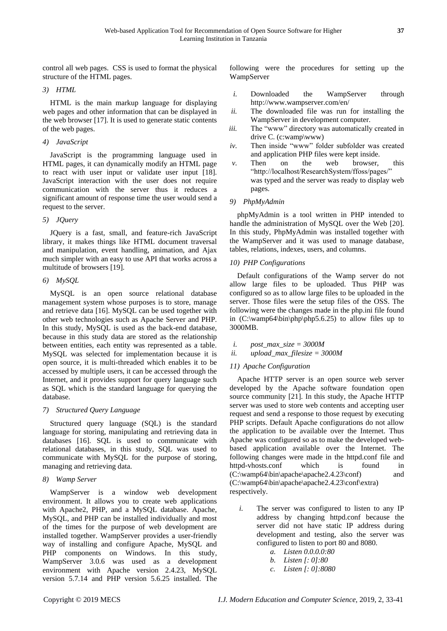control all web pages. CSS is used to format the physical structure of the HTML pages.

# *3) HTML*

HTML is the main markup language for displaying web pages and other information that can be displayed in the web browser [17]. It is used to generate static contents of the web pages.

# *4) JavaScript*

JavaScript is the programming language used in HTML pages, it can dynamically modify an HTML page to react with user input or validate user input [18]. JavaScript interaction with the user does not require communication with the server thus it reduces a significant amount of response time the user would send a request to the server.

# *5) JQuery*

JQuery is a fast, small, and feature-rich JavaScript library, it makes things like HTML document traversal and manipulation, event handling, animation, and Ajax much simpler with an easy to use API that works across a multitude of browsers [19].

# *6) MySQL*

MySQL is an open source relational database management system whose purposes is to store, manage and retrieve data [16]. MySQL can be used together with other web technologies such as Apache Server and PHP. In this study, MySQL is used as the back-end database, because in this study data are stored as the relationship between entities, each entity was represented as a table. MySQL was selected for implementation because it is open source, it is multi-threaded which enables it to be accessed by multiple users, it can be accessed through the Internet, and it provides support for query language such as SQL which is the standard language for querying the database.

## *7) Structured Query Language*

Structured query language (SQL) is the standard language for storing, manipulating and retrieving data in databases [16]. SQL is used to communicate with relational databases, in this study, SQL was used to communicate with MySQL for the purpose of storing, managing and retrieving data.

# *8) Wamp Server*

WampServer is a window web development environment. It allows you to create web applications with Apache2, PHP, and a MySQL database. Apache, MySQL, and PHP can be installed individually and most of the times for the purpose of web development are installed together. WampServer provides a user-friendly way of installing and configure Apache, MySQL and PHP components on Windows. In this study, WampServer 3.0.6 was used as a development environment with Apache version 2.4.23, MySQL version 5.7.14 and PHP version 5.6.25 installed. The

following were the procedures for setting up the WampServer

- *i.* Downloaded the WampServer through http://www.wampserver.com/en/
- *ii.* The downloaded file was run for installing the WampServer in development computer.
- *iii.* The "www" directory was automatically created in drive C. (c:wamp\www)
- *iv.* Then inside "www" folder subfolder was created and application PHP files were kept inside.
- *v.* Then on the web browser, this "http://localhost/ResearchSystem/ffoss/pages/" was typed and the server was ready to display web pages.

# *9) PhpMyAdmin*

phpMyAdmin is a tool written in PHP intended to handle the administration of MySQL over the Web [20]. In this study, PhpMyAdmin was installed together with the WampServer and it was used to manage database, tables, relations, indexes, users, and columns.

# *10) PHP Configurations*

Default configurations of the Wamp server do not allow large files to be uploaded. Thus PHP was configured so as to allow large files to be uploaded in the server. Those files were the setup files of the OSS. The following were the changes made in the php.ini file found in  $(C:\wamp{\binom{\phi}{\phi}}$  (C:\wamp64\bin\php\php5.6.25) to allow files up to 3000MB.

- *i. post\_max\_size = 3000M*
- *ii. upload\_max\_filesize = 3000M*

# *11) Apache Configuration*

Apache HTTP server is an open source web server developed by the Apache software foundation open source community [21]. In this study, the Apache HTTP server was used to store web contents and accepting user request and send a response to those request by executing PHP scripts. Default Apache configurations do not allow the application to be available over the Internet. Thus Apache was configured so as to make the developed webbased application available over the Internet. The following changes were made in the httpd.conf file and httpd-vhosts.conf which is found in  $(C:\wamp;amp64\binom{apache}{apache}.4.23\conf)$  and (C:\wamp64\bin\apache\apache2.4.23\conf\extra) respectively.

- *i.* The server was configured to listen to any IP address by changing httpd.conf because the server did not have static IP address during development and testing, also the server was configured to listen to port 80 and 8080.
	- *a. Listen 0.0.0.0:80*
	- *b. Listen [: 0]:80*
	- *c. Listen [: 0]:8080*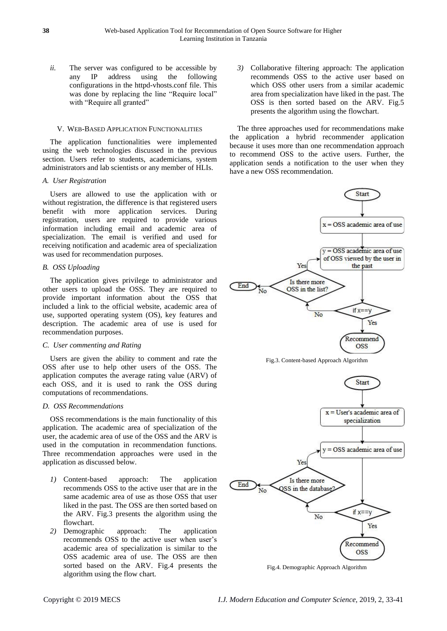*ii.* The server was configured to be accessible by any IP address using the following configurations in the httpd-vhosts.conf file. This was done by replacing the line "Require local" with "Require all granted"

## V. WEB-BASED APPLICATION FUNCTIONALITIES

The application functionalities were implemented using the web technologies discussed in the previous section. Users refer to students, academicians, system administrators and lab scientists or any member of HLIs.

## *A. User Registration*

Users are allowed to use the application with or without registration, the difference is that registered users benefit with more application services. During registration, users are required to provide various information including email and academic area of specialization. The email is verified and used for receiving notification and academic area of specialization was used for recommendation purposes.

## *B. OSS Uploading*

The application gives privilege to administrator and other users to upload the OSS. They are required to provide important information about the OSS that included a link to the official website, academic area of use, supported operating system (OS), key features and description. The academic area of use is used for recommendation purposes.

## *C. User commenting and Rating*

Users are given the ability to comment and rate the OSS after use to help other users of the OSS. The application computes the average rating value (ARV) of each OSS, and it is used to rank the OSS during computations of recommendations.

## *D. OSS Recommendations*

OSS recommendations is the main functionality of this application. The academic area of specialization of the user, the academic area of use of the OSS and the ARV is used in the computation in recommendation functions. Three recommendation approaches were used in the application as discussed below.

- *1)* Content-based approach: The application recommends OSS to the active user that are in the same academic area of use as those OSS that user liked in the past. The OSS are then sorted based on the ARV. Fig.3 presents the algorithm using the flowchart.
- *2)* Demographic approach: The application recommends OSS to the active user when user's academic area of specialization is similar to the OSS academic area of use. The OSS are then sorted based on the ARV. Fig.4 presents the algorithm using the flow chart.

*3)* Collaborative filtering approach: The application recommends OSS to the active user based on which OSS other users from a similar academic area from specialization have liked in the past. The OSS is then sorted based on the ARV. Fig.5 presents the algorithm using the flowchart.

The three approaches used for recommendations make the application a hybrid recommender application because it uses more than one recommendation approach to recommend OSS to the active users. Further, the application sends a notification to the user when they have a new OSS recommendation.



Fig.3. Content-based Approach Algorithm



Fig.4. Demographic Approach Algorithm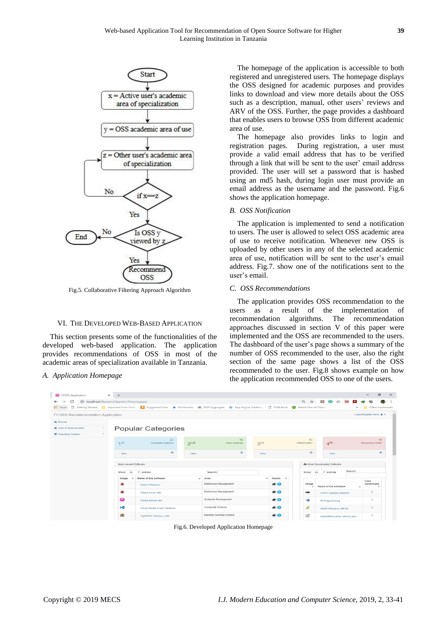

Fig.5. Collaborative Filtering Approach Algorithm

## VI. THE DEVELOPED WEB-BASED APPLICATION

This section presents some of the functionalities of the developed web-based application. The application provides recommendations of OSS in most of the academic areas of specialization available in Tanzania.

#### *A. Application Homepage*

The homepage of the application is accessible to both registered and unregistered users. The homepage displays the OSS designed for academic purposes and provides links to download and view more details about the OSS such as a description, manual, other users' reviews and ARV of the OSS. Further, the page provides a dashboard that enables users to browse OSS from different academic area of use.

The homepage also provides links to login and registration pages. During registration, a user must provide a valid email address that has to be verified through a link that will be sent to the user' email address provided. The user will set a password that is hashed using an md5 hash, during login user must provide an email address as the username and the password. Fig.6 shows the application homepage.

# *B. OSS Notification*

The application is implemented to send a notification to users. The user is allowed to select OSS academic area of use to receive notification. Whenever new OSS is uploaded by other users in any of the selected academic area of use, notification will be sent to the user's email address. Fig.7. show one of the notifications sent to the user's email.

#### *C. OSS Recommendations*

The application provides OSS recommendation to the users as a result of the implementation of recommendation algorithms. The recommendation approaches discussed in section V of this paper were implemented and the OSS are recommended to the users. The dashboard of the user's page shows a summary of the number of OSS recommended to the user, also the right section of the same page shows a list of the OSS recommended to the user. Fig.8 shows example on how the application recommended OSS to one of the users.

| <b>W</b> FFOSS Application                                                                                                                                         | $\times$<br>$+$ |                                                               |      |                                                                   |      |                     |                                    |                              |                 |                              |         |  |
|--------------------------------------------------------------------------------------------------------------------------------------------------------------------|-----------------|---------------------------------------------------------------|------|-------------------------------------------------------------------|------|---------------------|------------------------------------|------------------------------|-----------------|------------------------------|---------|--|
| <b>1</b> localhost/ResearchSystem/ffoss/pages/<br>c<br>Getting Started N Imported From Firefc M Suggested Sites A Bookmarks CIK ODK Aggregate O App Engine Dashbor |                 |                                                               |      |                                                                   |      |                     | Q ☆                                | 25<br>Q                      | $(1+$<br>$\sim$ |                              |         |  |
| <b>III</b> Apps<br>$\Box$                                                                                                                                          |                 |                                                               |      |                                                                   |      | <b>D</b> ODK Build  | Watch Den of Thieve                |                              | 35              | Other bookmarks              |         |  |
| FFOSS Recommendation Application                                                                                                                                   |                 |                                                               |      |                                                                   |      |                     |                                    |                              |                 | Login/Register Here & -      |         |  |
| d'à Brovese                                                                                                                                                        |                 |                                                               |      |                                                                   |      |                     |                                    |                              |                 |                              |         |  |
| Area of Specialization                                                                                                                                             |                 | <b>Popular Categories</b>                                     |      |                                                                   |      |                     |                                    |                              |                 |                              |         |  |
| <b>S</b> Operating System                                                                                                                                          | $\leq$          |                                                               |      |                                                                   |      |                     |                                    |                              |                 |                              |         |  |
|                                                                                                                                                                    | 1st             | 22<br>Computer Science<br>2 <sup>nd</sup>                     |      | 18<br>3rd<br>Data Analysis                                        |      | 15<br>Mathematics   |                                    | 4 <sup>th</sup>              |                 | 10<br><b>Document Writer</b> |         |  |
|                                                                                                                                                                    | View            | $\circ$                                                       | View | $\circ$                                                           | View |                     | $\circ$                            | View                         |                 |                              | $\circ$ |  |
|                                                                                                                                                                    |                 | Most viewed Software                                          |      |                                                                   |      |                     |                                    | A Most Downloaded Software   |                 |                              |         |  |
|                                                                                                                                                                    | Show            | v entries<br>10<br>Search:                                    |      |                                                                   |      |                     | Search:<br>10<br>v entries<br>Show |                              |                 |                              |         |  |
|                                                                                                                                                                    | Image           | Name of the software<br>$\sim$                                |      | $-$ Area<br>$\sim$                                                |      | Action<br>in del    |                                    |                              |                 | Total                        |         |  |
|                                                                                                                                                                    | z               | Zotero Windows                                                |      | Reference Management                                              |      | $\bullet$ $\bullet$ | Image                              | Name of the software         |                 | Downloads                    |         |  |
|                                                                                                                                                                    | z               | Zotero Linux x86                                              |      | Reference Management                                              |      | $\bullet$ $\bullet$ | <b>Allie</b>                       | <b>SOFA Statistics MacOS</b> |                 | з                            |         |  |
|                                                                                                                                                                    | $\bullet$       | Wamp Server x64<br>$\mathbf{d}$<br>Visual Studio Code Windows |      | $\bullet$<br>Systems Development<br>$\bullet$<br>Computer Science |      |                     | <b>R</b>                           | R Programming                | $\mathbf{I}$    |                              |         |  |
|                                                                                                                                                                    |                 |                                                               |      |                                                                   |      |                     | Ø                                  | QGIS Windows x86-64          |                 | 1                            |         |  |
|                                                                                                                                                                    | 蝶               | TightVNC Windows x86                                          |      | Remote Desktop Control                                            |      | $\bullet$           | 國                                  | LibreOffice Linux x86-64_rpm |                 | $\overline{1}$               |         |  |

Fig.6. Developed Application Homepage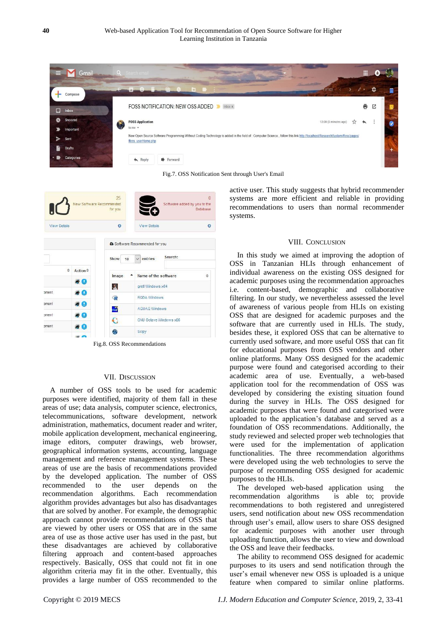

Fig.7. OSS Notification Sent through User's Email



Fig.8. OSS Recommendations

### VII. DISCUSSION

A number of OSS tools to be used for academic purposes were identified, majority of them fall in these areas of use; data analysis, computer science, electronics, telecommunications, software development, network administration, mathematics, document reader and writer, mobile application development, mechanical engineering, image editors, computer drawings, web browser, geographical information systems, accounting, language management and reference management systems. These areas of use are the basis of recommendations provided by the developed application. The number of OSS recommended to the user depends on the recommendation algorithms. Each recommendation algorithm provides advantages but also has disadvantages that are solved by another. For example, the demographic approach cannot provide recommendations of OSS that are viewed by other users or OSS that are in the same area of use as those active user has used in the past, but these disadvantages are achieved by collaborative filtering approach and content-based approaches respectively. Basically, OSS that could not fit in one algorithm criteria may fit in the other. Eventually, this provides a large number of OSS recommended to the active user. This study suggests that hybrid recommender systems are more efficient and reliable in providing recommendations to users than normal recommender systems.

## VIII. CONCLUSION

In this study we aimed at improving the adoption of OSS in Tanzanian HLIs through enhancement of individual awareness on the existing OSS designed for academic purposes using the recommendation approaches i.e. content-based, demographic and collaborative filtering. In our study, we nevertheless assessed the level of awareness of various people from HLIs on existing OSS that are designed for academic purposes and the software that are currently used in HLIs. The study, besides these, it explored OSS that can be alternative to currently used software, and more useful OSS that can fit for educational purposes from OSS vendors and other online platforms. Many OSS designed for the academic purpose were found and categorised according to their academic area of use. Eventually, a web-based application tool for the recommendation of OSS was developed by considering the existing situation found during the survey in HLIs. The OSS designed for academic purposes that were found and categorised were uploaded to the application's database and served as a foundation of OSS recommendations. Additionally, the study reviewed and selected proper web technologies that were used for the implementation of application functionalities. The three recommendation algorithms were developed using the web technologies to serve the purpose of recommending OSS designed for academic purposes to the HLIs.

The developed web-based application using the recommendation algorithms is able to; provide recommendations to both registered and unregistered users, send notification about new OSS recommendation through user's email, allow users to share OSS designed for academic purposes with another user through uploading function, allows the user to view and download the OSS and leave their feedbacks.

The ability to recommend OSS designed for academic purposes to its users and send notification through the user's email whenever new OSS is uploaded is a unique feature when compared to similar online platforms.